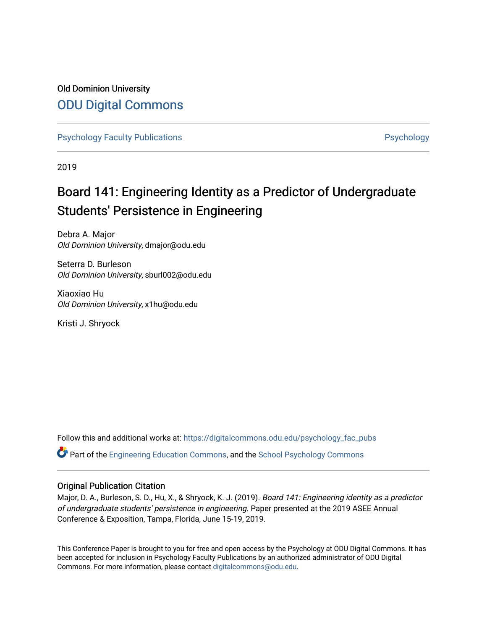# Old Dominion University [ODU Digital Commons](https://digitalcommons.odu.edu/)

[Psychology Faculty Publications](https://digitalcommons.odu.edu/psychology_fac_pubs) **Psychology** Psychology

2019

# Board 141: Engineering Identity as a Predictor of Undergraduate Students' Persistence in Engineering

Debra A. Major Old Dominion University, dmajor@odu.edu

Seterra D. Burleson Old Dominion University, sburl002@odu.edu

Xiaoxiao Hu Old Dominion University, x1hu@odu.edu

Kristi J. Shryock

Follow this and additional works at: [https://digitalcommons.odu.edu/psychology\\_fac\\_pubs](https://digitalcommons.odu.edu/psychology_fac_pubs?utm_source=digitalcommons.odu.edu%2Fpsychology_fac_pubs%2F98&utm_medium=PDF&utm_campaign=PDFCoverPages)

Part of the [Engineering Education Commons,](http://network.bepress.com/hgg/discipline/1191?utm_source=digitalcommons.odu.edu%2Fpsychology_fac_pubs%2F98&utm_medium=PDF&utm_campaign=PDFCoverPages) and the [School Psychology Commons](http://network.bepress.com/hgg/discipline/1072?utm_source=digitalcommons.odu.edu%2Fpsychology_fac_pubs%2F98&utm_medium=PDF&utm_campaign=PDFCoverPages) 

#### Original Publication Citation

Major, D. A., Burleson, S. D., Hu, X., & Shryock, K. J. (2019). Board 141: Engineering identity as a predictor of undergraduate students' persistence in engineering. Paper presented at the 2019 ASEE Annual Conference & Exposition, Tampa, Florida, June 15-19, 2019.

This Conference Paper is brought to you for free and open access by the Psychology at ODU Digital Commons. It has been accepted for inclusion in Psychology Faculty Publications by an authorized administrator of ODU Digital Commons. For more information, please contact [digitalcommons@odu.edu](mailto:digitalcommons@odu.edu).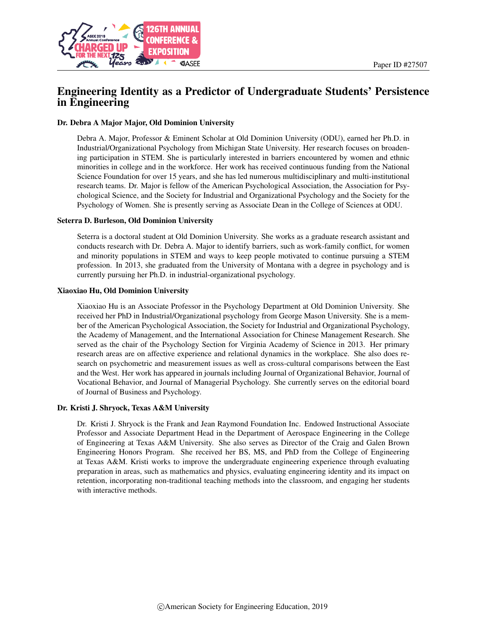

# Engineering Identity as a Predictor of Undergraduate Students' Persistence in Engineering

#### Dr. Debra A Major Major, Old Dominion University

Debra A. Major, Professor & Eminent Scholar at Old Dominion University (ODU), earned her Ph.D. in Industrial/Organizational Psychology from Michigan State University. Her research focuses on broadening participation in STEM. She is particularly interested in barriers encountered by women and ethnic minorities in college and in the workforce. Her work has received continuous funding from the National Science Foundation for over 15 years, and she has led numerous multidisciplinary and multi-institutional research teams. Dr. Major is fellow of the American Psychological Association, the Association for Psychological Science, and the Society for Industrial and Organizational Psychology and the Society for the Psychology of Women. She is presently serving as Associate Dean in the College of Sciences at ODU.

#### Seterra D. Burleson, Old Dominion University

Seterra is a doctoral student at Old Dominion University. She works as a graduate research assistant and conducts research with Dr. Debra A. Major to identify barriers, such as work-family conflict, for women and minority populations in STEM and ways to keep people motivated to continue pursuing a STEM profession. In 2013, she graduated from the University of Montana with a degree in psychology and is currently pursuing her Ph.D. in industrial-organizational psychology.

#### Xiaoxiao Hu, Old Dominion University

Xiaoxiao Hu is an Associate Professor in the Psychology Department at Old Dominion University. She received her PhD in Industrial/Organizational psychology from George Mason University. She is a member of the American Psychological Association, the Society for Industrial and Organizational Psychology, the Academy of Management, and the International Association for Chinese Management Research. She served as the chair of the Psychology Section for Virginia Academy of Science in 2013. Her primary research areas are on affective experience and relational dynamics in the workplace. She also does research on psychometric and measurement issues as well as cross-cultural comparisons between the East and the West. Her work has appeared in journals including Journal of Organizational Behavior, Journal of Vocational Behavior, and Journal of Managerial Psychology. She currently serves on the editorial board of Journal of Business and Psychology.

#### Dr. Kristi J. Shryock, Texas A&M University

Dr. Kristi J. Shryock is the Frank and Jean Raymond Foundation Inc. Endowed Instructional Associate Professor and Associate Department Head in the Department of Aerospace Engineering in the College of Engineering at Texas A&M University. She also serves as Director of the Craig and Galen Brown Engineering Honors Program. She received her BS, MS, and PhD from the College of Engineering at Texas A&M. Kristi works to improve the undergraduate engineering experience through evaluating preparation in areas, such as mathematics and physics, evaluating engineering identity and its impact on retention, incorporating non-traditional teaching methods into the classroom, and engaging her students with interactive methods.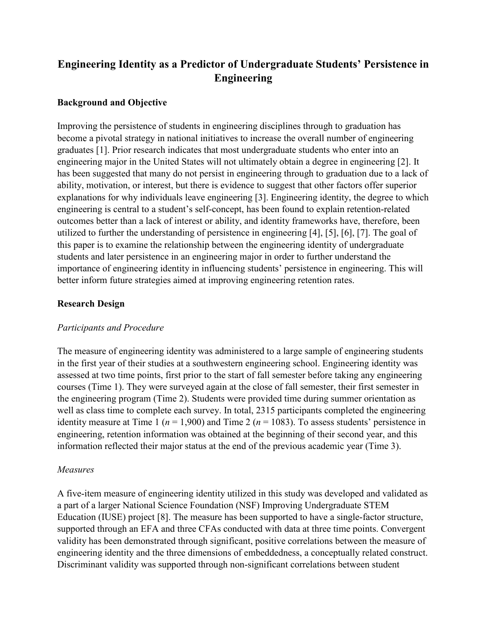# **Engineering Identity as a Predictor of Undergraduate Students' Persistence in Engineering**

## **Background and Objective**

Improving the persistence of students in engineering disciplines through to graduation has become a pivotal strategy in national initiatives to increase the overall number of engineering graduates [1]. Prior research indicates that most undergraduate students who enter into an engineering major in the United States will not ultimately obtain a degree in engineering [2]. It has been suggested that many do not persist in engineering through to graduation due to a lack of ability, motivation, or interest, but there is evidence to suggest that other factors offer superior explanations for why individuals leave engineering [3]. Engineering identity, the degree to which engineering is central to a student's self-concept, has been found to explain retention-related outcomes better than a lack of interest or ability, and identity frameworks have, therefore, been utilized to further the understanding of persistence in engineering [4], [5], [6], [7]. The goal of this paper is to examine the relationship between the engineering identity of undergraduate students and later persistence in an engineering major in order to further understand the importance of engineering identity in influencing students' persistence in engineering. This will better inform future strategies aimed at improving engineering retention rates.

## **Research Design**

### *Participants and Procedure*

The measure of engineering identity was administered to a large sample of engineering students in the first year of their studies at a southwestern engineering school. Engineering identity was assessed at two time points, first prior to the start of fall semester before taking any engineering courses (Time 1). They were surveyed again at the close of fall semester, their first semester in the engineering program (Time 2). Students were provided time during summer orientation as well as class time to complete each survey. In total, 2315 participants completed the engineering identity measure at Time 1 ( $n = 1,900$ ) and Time 2 ( $n = 1083$ ). To assess students' persistence in engineering, retention information was obtained at the beginning of their second year, and this information reflected their major status at the end of the previous academic year (Time 3).

### *Measures*

A five-item measure of engineering identity utilized in this study was developed and validated as a part of a larger National Science Foundation (NSF) Improving Undergraduate STEM Education (IUSE) project [8]. The measure has been supported to have a single-factor structure, supported through an EFA and three CFAs conducted with data at three time points. Convergent validity has been demonstrated through significant, positive correlations between the measure of engineering identity and the three dimensions of embeddedness, a conceptually related construct. Discriminant validity was supported through non-significant correlations between student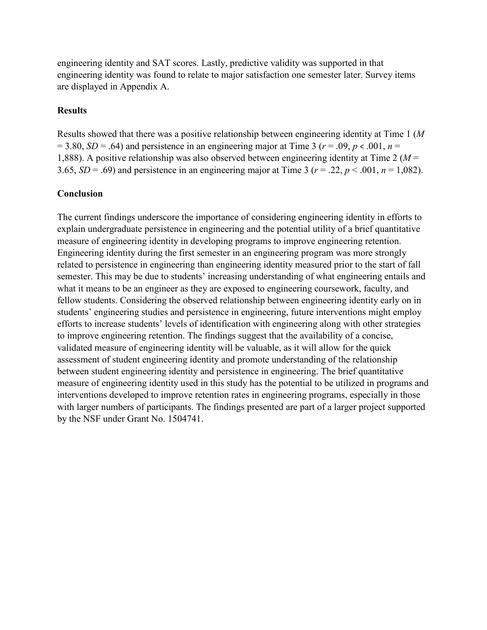engineering identity and SAT scores. Lastly, predictive validity was supported in that engineering identity was found to relate to major satisfaction one semester later. Survey items are displayed in Appendix A.

## **Results**

Results showed that there was a positive relationship between engineering identity at Time 1 (*M*  $= 3.80, SD = .64$ ) and persistence in an engineering major at Time 3 ( $r = .09, p < .001, n =$ 1,888). A positive relationship was also observed between engineering identity at Time 2 (*M* = 3.65,  $SD = .69$ ) and persistence in an engineering major at Time 3 ( $r = .22$ ,  $p < .001$ ,  $n = 1,082$ ).

#### **Conclusion**

The current findings underscore the importance of considering engineering identity in efforts to explain undergraduate persistence in engineering and the potential utility of a brief quantitative measure of engineering identity in developing programs to improve engineering retention. Engineering identity during the first semester in an engineering program was more strongly related to persistence in engineering than engineering identity measured prior to the start of fall semester. This may be due to students' increasing understanding of what engineering entails and what it means to be an engineer as they are exposed to engineering coursework, faculty, and fellow students. Considering the observed relationship between engineering identity early on in students' engineering studies and persistence in engineering, future interventions might employ efforts to increase students' levels of identification with engineering along with other strategies to improve engineering retention. The findings suggest that the availability of a concise, validated measure of engineering identity will be valuable, as it will allow for the quick assessment of student engineering identity and promote understanding of the relationship between student engineering identity and persistence in engineering. The brief quantitative measure of engineering identity used in this study has the potential to be utilized in programs and interventions developed to improve retention rates in engineering programs, especially in those with larger numbers of participants. The findings presented are part of a larger project supported by the NSF under Grant No. 1504741.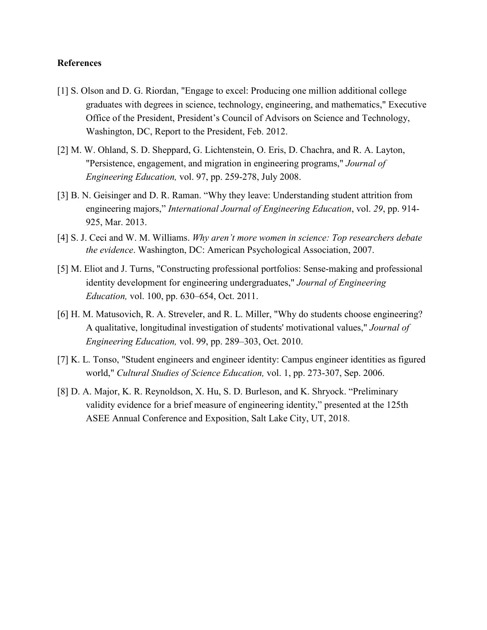#### **References**

- [1] S. Olson and D. G. Riordan, "Engage to excel: Producing one million additional college graduates with degrees in science, technology, engineering, and mathematics," Executive Office of the President, President's Council of Advisors on Science and Technology, Washington, DC, Report to the President, Feb. 2012.
- [2] M. W. Ohland, S. D. Sheppard, G. Lichtenstein, O. Eris, D. Chachra, and R. A. Layton, "Persistence, engagement, and migration in engineering programs," *Journal of Engineering Education,* vol. 97, pp. 259-278, July 2008.
- [3] B. N. Geisinger and D. R. Raman. "Why they leave: Understanding student attrition from engineering majors," *International Journal of Engineering Education*, vol. *29*, pp. 914- 925, Mar. 2013.
- [4] S. J. Ceci and W. M. Williams. *Why aren't more women in science: Top researchers debate the evidence*. Washington, DC: American Psychological Association, 2007.
- [5] M. Eliot and J. Turns, "Constructing professional portfolios: Sense-making and professional identity development for engineering undergraduates," *Journal of Engineering Education,* vol. 100, pp. 630–654, Oct. 2011.
- [6] H. M. Matusovich, R. A. Streveler, and R. L. Miller, "Why do students choose engineering? A qualitative, longitudinal investigation of students' motivational values," *Journal of Engineering Education,* vol. 99, pp. 289–303, Oct. 2010.
- [7] K. L. Tonso, "Student engineers and engineer identity: Campus engineer identities as figured world," *Cultural Studies of Science Education,* vol. 1, pp. 273-307, Sep. 2006.
- [8] D. A. Major, K. R. Reynoldson, X. Hu, S. D. Burleson, and K. Shryock. "Preliminary validity evidence for a brief measure of engineering identity," presented at the 125th ASEE Annual Conference and Exposition, Salt Lake City, UT, 2018.